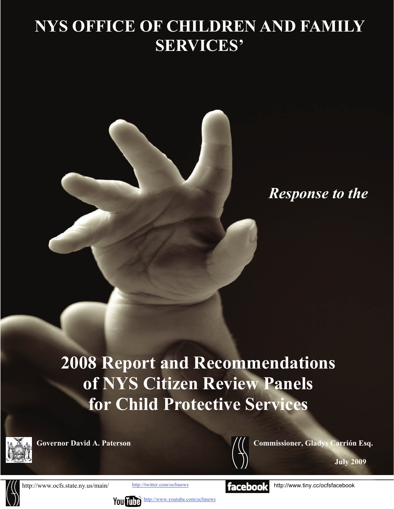# **NYS OFFICE OF CHILDREN AND FAMILY SERVICES'**



*Response to the* 

**2008 Report and Recommendations of NYS Citizen Review Panels for Child Protective Services** 





**Governor David A. Paterson Commissioner, Gladys Carrión Esq.**  Commissioner, Gladys Carrión Esq.

**July 2009** 



http://www.ocfs.state.ny.us/main/

You  $\prod_{i=1}^{\infty}$  <http://www.youtube.com/ocfsnews>

$$
| \mathsf{faceboo}
$$

<http://twitter.com/ocfsnews> **http://www.tiny.cc/ocfsfacebook**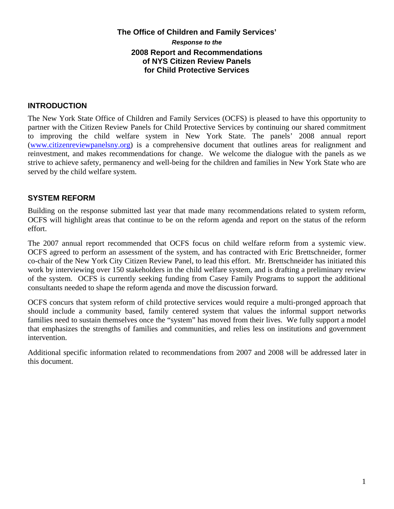## **The Office of Children and Family Services'**  *Response to the*  **2008 Report and Recommendations of NYS Citizen Review Panels for Child Protective Services**

## **INTRODUCTION**

The New York State Office of Children and Family Services (OCFS) is pleased to have this opportunity to partner with the Citizen Review Panels for Child Protective Services by continuing our shared commitment to improving the child welfare system in New York State. The panels' 2008 annual report [\(www.citizenreviewpanelsny.org\)](http://www.citizenreviewpanelsny.org/) is a comprehensive document that outlines areas for realignment and reinvestment, and makes recommendations for change. We welcome the dialogue with the panels as we strive to achieve safety, permanency and well-being for the children and families in New York State who are served by the child welfare system.

## **SYSTEM REFORM**

Building on the response submitted last year that made many recommendations related to system reform, OCFS will highlight areas that continue to be on the reform agenda and report on the status of the reform effort.

The 2007 annual report recommended that OCFS focus on child welfare reform from a systemic view. OCFS agreed to perform an assessment of the system, and has contracted with Eric Brettschneider, former co-chair of the New York City Citizen Review Panel, to lead this effort. Mr. Brettschneider has initiated this work by interviewing over 150 stakeholders in the child welfare system, and is drafting a preliminary review of the system. OCFS is currently seeking funding from Casey Family Programs to support the additional consultants needed to shape the reform agenda and move the discussion forward.

OCFS concurs that system reform of child protective services would require a multi-pronged approach that should include a community based, family centered system that values the informal support networks families need to sustain themselves once the "system" has moved from their lives. We fully support a model that emphasizes the strengths of families and communities, and relies less on institutions and government intervention.

Additional specific information related to recommendations from 2007 and 2008 will be addressed later in this document.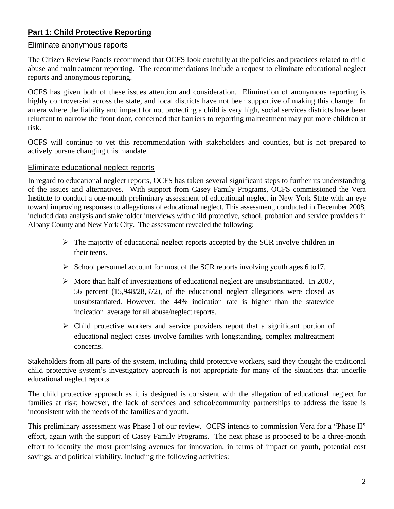# **Part 1: Child Protective Reporting**

## Eliminate anonymous reports

The Citizen Review Panels recommend that OCFS look carefully at the policies and practices related to child abuse and maltreatment reporting. The recommendations include a request to eliminate educational neglect reports and anonymous reporting.

OCFS has given both of these issues attention and consideration. Elimination of anonymous reporting is highly controversial across the state, and local districts have not been supportive of making this change. In an era where the liability and impact for not protecting a child is very high, social services districts have been reluctant to narrow the front door, concerned that barriers to reporting maltreatment may put more children at risk.

OCFS will continue to vet this recommendation with stakeholders and counties, but is not prepared to actively pursue changing this mandate.

#### Eliminate educational neglect reports

In regard to educational neglect reports, OCFS has taken several significant steps to further its understanding of the issues and alternatives. With support from Casey Family Programs, OCFS commissioned the Vera Institute to conduct a one-month preliminary assessment of educational neglect in New York State with an eye toward improving responses to allegations of educational neglect. This assessment, conducted in December 2008, included data analysis and stakeholder interviews with child protective, school, probation and service providers in Albany County and New York City. The assessment revealed the following:

- $\triangleright$  The majority of educational neglect reports accepted by the SCR involve children in their teens.
- $\triangleright$  School personnel account for most of the SCR reports involving youth ages 6 to 17.
- $\triangleright$  More than half of investigations of educational neglect are unsubstantiated. In 2007, 56 percent (15,948/28,372), of the educational neglect allegations were closed as unsubstantiated. However, the 44% indication rate is higher than the statewide indication average for all abuse/neglect reports.
- $\triangleright$  Child protective workers and service providers report that a significant portion of educational neglect cases involve families with longstanding, complex maltreatment concerns.

Stakeholders from all parts of the system, including child protective workers, said they thought the traditional child protective system's investigatory approach is not appropriate for many of the situations that underlie educational neglect reports.

The child protective approach as it is designed is consistent with the allegation of educational neglect for families at risk; however, the lack of services and school/community partnerships to address the issue is inconsistent with the needs of the families and youth.

This preliminary assessment was Phase I of our review. OCFS intends to commission Vera for a "Phase II" effort, again with the support of Casey Family Programs. The next phase is proposed to be a three-month effort to identify the most promising avenues for innovation, in terms of impact on youth, potential cost savings, and political viability, including the following activities: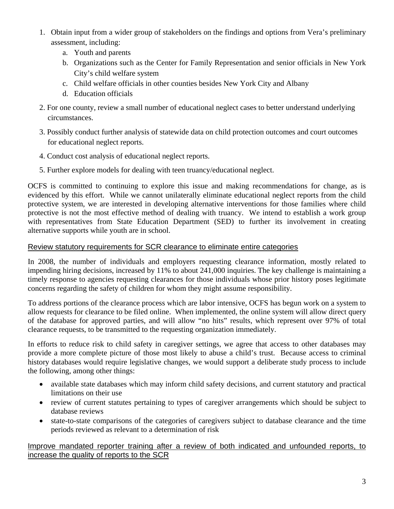- 1. Obtain input from a wider group of stakeholders on the findings and options from Vera's preliminary assessment, including:
	- a. Youth and parents
	- b. Organizations such as the Center for Family Representation and senior officials in New York City's child welfare system
	- c. Child welfare officials in other counties besides New York City and Albany
	- d. Education officials
- 2. For one county, review a small number of educational neglect cases to better understand underlying circumstances.
- 3. Possibly conduct further analysis of statewide data on child protection outcomes and court outcomes for educational neglect reports.
- 4. Conduct cost analysis of educational neglect reports.
- 5. Further explore models for dealing with teen truancy/educational neglect.

OCFS is committed to continuing to explore this issue and making recommendations for change, as is evidenced by this effort. While we cannot unilaterally eliminate educational neglect reports from the child protective system, we are interested in developing alternative interventions for those families where child protective is not the most effective method of dealing with truancy. We intend to establish a work group with representatives from State Education Department (SED) to further its involvement in creating alternative supports while youth are in school.

## Review statutory requirements for SCR clearance to eliminate entire categories

In 2008, the number of individuals and employers requesting clearance information, mostly related to impending hiring decisions, increased by 11% to about 241,000 inquiries. The key challenge is maintaining a timely response to agencies requesting clearances for those individuals whose prior history poses legitimate concerns regarding the safety of children for whom they might assume responsibility.

To address portions of the clearance process which are labor intensive, OCFS has begun work on a system to allow requests for clearance to be filed online. When implemented, the online system will allow direct query of the database for approved parties, and will allow "no hits" results, which represent over 97% of total clearance requests, to be transmitted to the requesting organization immediately.

In efforts to reduce risk to child safety in caregiver settings, we agree that access to other databases may provide a more complete picture of those most likely to abuse a child's trust. Because access to criminal history databases would require legislative changes, we would support a deliberate study process to include the following, among other things:

- available state databases which may inform child safety decisions, and current statutory and practical limitations on their use
- review of current statutes pertaining to types of caregiver arrangements which should be subject to database reviews
- state-to-state comparisons of the categories of caregivers subject to database clearance and the time periods reviewed as relevant to a determination of risk

## Improve mandated reporter training after a review of both indicated and unfounded reports, to increase the quality of reports to the SCR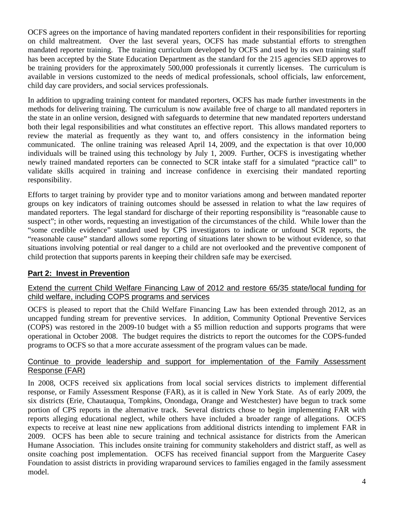OCFS agrees on the importance of having mandated reporters confident in their responsibilities for reporting on child maltreatment. Over the last several years, OCFS has made substantial efforts to strengthen mandated reporter training. The training curriculum developed by OCFS and used by its own training staff has been accepted by the State Education Department as the standard for the 215 agencies SED approves to be training providers for the approximately 500,000 professionals it currently licenses. The curriculum is available in versions customized to the needs of medical professionals, school officials, law enforcement, child day care providers, and social services professionals.

In addition to upgrading training content for mandated reporters, OCFS has made further investments in the methods for delivering training. The curriculum is now available free of charge to all mandated reporters in the state in an online version, designed with safeguards to determine that new mandated reporters understand both their legal responsibilities and what constitutes an effective report. This allows mandated reporters to review the material as frequently as they want to, and offers consistency in the information being communicated. The online training was released April 14, 2009, and the expectation is that over 10,000 individuals will be trained using this technology by July 1, 2009. Further, OCFS is investigating whether newly trained mandated reporters can be connected to SCR intake staff for a simulated "practice call" to validate skills acquired in training and increase confidence in exercising their mandated reporting responsibility.

Efforts to target training by provider type and to monitor variations among and between mandated reporter groups on key indicators of training outcomes should be assessed in relation to what the law requires of mandated reporters. The legal standard for discharge of their reporting responsibility is "reasonable cause to suspect"; in other words, requesting an investigation of the circumstances of the child. While lower than the "some credible evidence" standard used by CPS investigators to indicate or unfound SCR reports, the "reasonable cause" standard allows some reporting of situations later shown to be without evidence, so that situations involving potential or real danger to a child are not overlooked and the preventive component of child protection that supports parents in keeping their children safe may be exercised.

# **Part 2: Invest in Prevention**

## Extend the current Child Welfare Financing Law of 2012 and restore 65/35 state/local funding for child welfare, including COPS programs and services

OCFS is pleased to report that the Child Welfare Financing Law has been extended through 2012, as an uncapped funding stream for preventive services. In addition, Community Optional Preventive Services (COPS) was restored in the 2009-10 budget with a \$5 million reduction and supports programs that were operational in October 2008. The budget requires the districts to report the outcomes for the COPS-funded programs to OCFS so that a more accurate assessment of the program values can be made.

## Continue to provide leadership and support for implementation of the Family Assessment Response (FAR)

In 2008, OCFS received six applications from local social services districts to implement differential response, or Family Assessment Response (FAR), as it is called in New York State. As of early 2009, the six districts (Erie, Chautauqua, Tompkins, Onondaga, Orange and Westchester) have begun to track some portion of CPS reports in the alternative track. Several districts chose to begin implementing FAR with reports alleging educational neglect, while others have included a broader range of allegations. OCFS expects to receive at least nine new applications from additional districts intending to implement FAR in 2009. OCFS has been able to secure training and technical assistance for districts from the American Humane Association. This includes onsite training for community stakeholders and district staff, as well as onsite coaching post implementation. OCFS has received financial support from the Marguerite Casey Foundation to assist districts in providing wraparound services to families engaged in the family assessment model.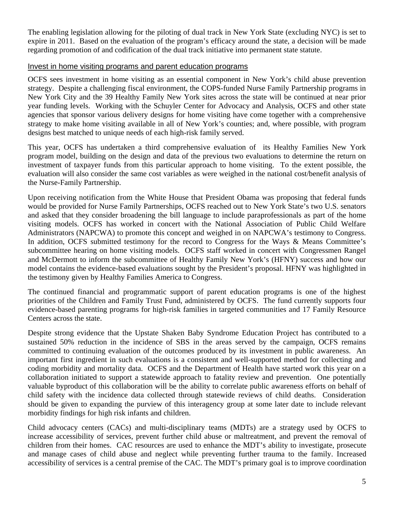The enabling legislation allowing for the piloting of dual track in New York State (excluding NYC) is set to expire in 2011. Based on the evaluation of the program's efficacy around the state, a decision will be made regarding promotion of and codification of the dual track initiative into permanent state statute.

#### Invest in home visiting programs and parent education programs

OCFS sees investment in home visiting as an essential component in New York's child abuse prevention strategy. Despite a challenging fiscal environment, the COPS-funded Nurse Family Partnership programs in New York City and the 39 Healthy Family New York sites across the state will be continued at near prior year funding levels. Working with the Schuyler Center for Advocacy and Analysis, OCFS and other state agencies that sponsor various delivery designs for home visiting have come together with a comprehensive strategy to make home visiting available in all of New York's counties; and, where possible, with program designs best matched to unique needs of each high-risk family served.

This year, OCFS has undertaken a third comprehensive evaluation of its Healthy Families New York program model, building on the design and data of the previous two evaluations to determine the return on investment of taxpayer funds from this particular approach to home visiting. To the extent possible, the evaluation will also consider the same cost variables as were weighed in the national cost/benefit analysis of the Nurse-Family Partnership.

Upon receiving notification from the White House that President Obama was proposing that federal funds would be provided for Nurse Family Partnerships, OCFS reached out to New York State's two U.S. senators and asked that they consider broadening the bill language to include paraprofessionals as part of the home visiting models. OCFS has worked in concert with the National Association of Public Child Welfare Administrators (NAPCWA) to promote this concept and weighed in on NAPCWA's testimony to Congress. In addition, OCFS submitted testimony for the record to Congress for the Ways & Means Committee's subcommittee hearing on home visiting models. OCFS staff worked in concert with Congressmen Rangel and McDermott to inform the subcommittee of Healthy Family New York's (HFNY) success and how our model contains the evidence-based evaluations sought by the President's proposal. HFNY was highlighted in the testimony given by Healthy Families America to Congress.

The continued financial and programmatic support of parent education programs is one of the highest priorities of the Children and Family Trust Fund, administered by OCFS. The fund currently supports four evidence-based parenting programs for high-risk families in targeted communities and 17 Family Resource Centers across the state.

Despite strong evidence that the Upstate Shaken Baby Syndrome Education Project has contributed to a sustained 50% reduction in the incidence of SBS in the areas served by the campaign, OCFS remains committed to continuing evaluation of the outcomes produced by its investment in public awareness. An important first ingredient in such evaluations is a consistent and well-supported method for collecting and coding morbidity and mortality data. OCFS and the Department of Health have started work this year on a collaboration initiated to support a statewide approach to fatality review and prevention. One potentially valuable byproduct of this collaboration will be the ability to correlate public awareness efforts on behalf of child safety with the incidence data collected through statewide reviews of child deaths. Consideration should be given to expanding the purview of this interagency group at some later date to include relevant morbidity findings for high risk infants and children.

Child advocacy centers (CACs) and multi-disciplinary teams (MDTs) are a strategy used by OCFS to increase accessibility of services, prevent further child abuse or maltreatment, and prevent the removal of children from their homes. CAC resources are used to enhance the MDT's ability to investigate, prosecute and manage cases of child abuse and neglect while preventing further trauma to the family. Increased accessibility of services is a central premise of the CAC. The MDT's primary goal is to improve coordination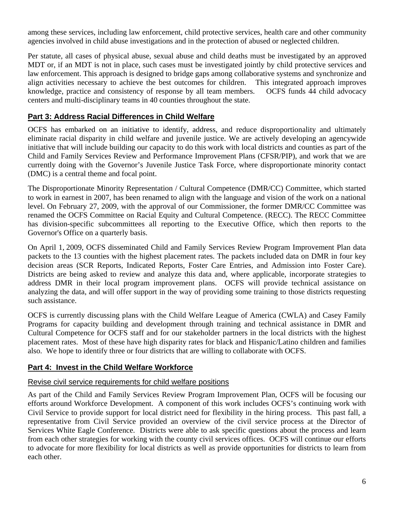among these services, including law enforcement, child protective services, health care and other community agencies involved in child abuse investigations and in the protection of abused or neglected children.

Per statute, all cases of physical abuse, sexual abuse and child deaths must be investigated by an approved MDT or, if an MDT is not in place, such cases must be investigated jointly by child protective services and law enforcement. This approach is designed to bridge gaps among collaborative systems and synchronize and align activities necessary to achieve the best outcomes for children. This integrated approach improves knowledge, practice and consistency of response by all team members. OCFS funds 44 child advocacy centers and multi-disciplinary teams in 40 counties throughout the state.

# **Part 3: Address Racial Differences in Child Welfare**

OCFS has embarked on an initiative to identify, address, and reduce disproportionality and ultimately eliminate racial disparity in child welfare and juvenile justice. We are actively developing an agencywide initiative that will include building our capacity to do this work with local districts and counties as part of the Child and Family Services Review and Performance Improvement Plans (CFSR/PIP), and work that we are currently doing with the Governor's Juvenile Justice Task Force, where disproportionate minority contact (DMC) is a central theme and focal point.

The Disproportionate Minority Representation / Cultural Competence (DMR/CC) Committee, which started to work in earnest in 2007, has been renamed to align with the language and vision of the work on a national level. On February 27, 2009, with the approval of our Commissioner, the former DMR/CC Committee was renamed the OCFS Committee on Racial Equity and Cultural Competence. (RECC). The RECC Committee has division-specific subcommittees all reporting to the Executive Office, which then reports to the Governor's Office on a quarterly basis.

On April 1, 2009, OCFS disseminated Child and Family Services Review Program Improvement Plan data packets to the 13 counties with the highest placement rates. The packets included data on DMR in four key decision areas (SCR Reports, Indicated Reports, Foster Care Entries, and Admission into Foster Care). Districts are being asked to review and analyze this data and, where applicable, incorporate strategies to address DMR in their local program improvement plans. OCFS will provide technical assistance on analyzing the data, and will offer support in the way of providing some training to those districts requesting such assistance.

OCFS is currently discussing plans with the Child Welfare League of America (CWLA) and Casey Family Programs for capacity building and development through training and technical assistance in DMR and Cultural Competence for OCFS staff and for our stakeholder partners in the local districts with the highest placement rates. Most of these have high disparity rates for black and Hispanic/Latino children and families also. We hope to identify three or four districts that are willing to collaborate with OCFS.

## **Part 4: Invest in the Child Welfare Workforce**

## Revise civil service requirements for child welfare positions

As part of the Child and Family Services Review Program Improvement Plan, OCFS will be focusing our efforts around Workforce Development. A component of this work includes OCFS's continuing work with Civil Service to provide support for local district need for flexibility in the hiring process. This past fall, a representative from Civil Service provided an overview of the civil service process at the Director of Services White Eagle Conference. Districts were able to ask specific questions about the process and learn from each other strategies for working with the county civil services offices. OCFS will continue our efforts to advocate for more flexibility for local districts as well as provide opportunities for districts to learn from each other.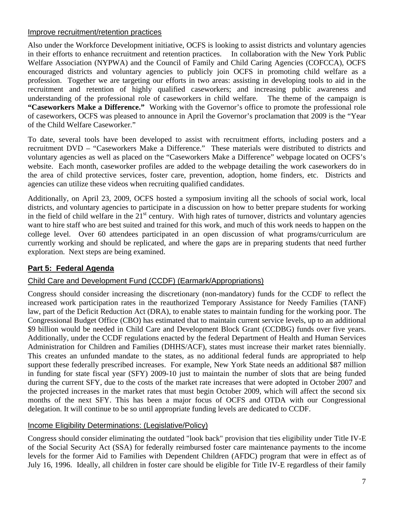## Improve recruitment/retention practices

Also under the Workforce Development initiative, OCFS is looking to assist districts and voluntary agencies in their efforts to enhance recruitment and retention practices. In collaboration with the New York Public Welfare Association (NYPWA) and the Council of Family and Child Caring Agencies (COFCCA), OCFS encouraged districts and voluntary agencies to publicly join OCFS in promoting child welfare as a profession. Together we are targeting our efforts in two areas: assisting in developing tools to aid in the recruitment and retention of highly qualified caseworkers; and increasing public awareness and understanding of the professional role of caseworkers in child welfare. The theme of the campaign is **"Caseworkers Make a Difference."** Working with the Governor's office to promote the professional role of caseworkers, OCFS was pleased to announce in April the Governor's proclamation that 2009 is the "Year of the Child Welfare Caseworker."

To date, several tools have been developed to assist with recruitment efforts, including posters and a recruitment DVD – "Caseworkers Make a Difference." These materials were distributed to districts and voluntary agencies as well as placed on the "Caseworkers Make a Difference" webpage located on OCFS's website. Each month, caseworker profiles are added to the webpage detailing the work caseworkers do in the area of child protective services, foster care, prevention, adoption, home finders, etc. Districts and agencies can utilize these videos when recruiting qualified candidates.

Additionally, on April 23, 2009, OCFS hosted a symposium inviting all the schools of social work, local districts, and voluntary agencies to participate in a discussion on how to better prepare students for working in the field of child welfare in the  $21<sup>st</sup>$  century. With high rates of turnover, districts and voluntary agencies want to hire staff who are best suited and trained for this work, and much of this work needs to happen on the college level. Over 60 attendees participated in an open discussion of what programs/curriculum are currently working and should be replicated, and where the gaps are in preparing students that need further exploration. Next steps are being examined.

# **Part 5: Federal Agenda**

# Child Care and Development Fund (CCDF) (Earmark/Appropriations)

Congress should consider increasing the discretionary (non-mandatory) funds for the CCDF to reflect the increased work participation rates in the reauthorized Temporary Assistance for Needy Families (TANF) law, part of the Deficit Reduction Act (DRA), to enable states to maintain funding for the working poor. The Congressional Budget Office (CBO) has estimated that to maintain current service levels, up to an additional \$9 billion would be needed in Child Care and Development Block Grant (CCDBG) funds over five years. Additionally, under the CCDF regulations enacted by the federal Department of Health and Human Services Administration for Children and Families (DHHS/ACF), states must increase their market rates biennially. This creates an unfunded mandate to the states, as no additional federal funds are appropriated to help support these federally prescribed increases. For example, New York State needs an additional \$87 million in funding for state fiscal year (SFY) 2009-10 just to maintain the number of slots that are being funded during the current SFY, due to the costs of the market rate increases that were adopted in October 2007 and the projected increases in the market rates that must begin October 2009, which will affect the second six months of the next SFY. This has been a major focus of OCFS and OTDA with our Congressional delegation. It will continue to be so until appropriate funding levels are dedicated to CCDF.

# Income Eligibility Determinations: (Legislative/Policy)

Congress should consider eliminating the outdated "look back" provision that ties eligibility under Title IV-E of the Social Security Act (SSA) for federally reimbursed foster care maintenance payments to the income levels for the former Aid to Families with Dependent Children (AFDC) program that were in effect as of July 16, 1996. Ideally, all children in foster care should be eligible for Title IV-E regardless of their family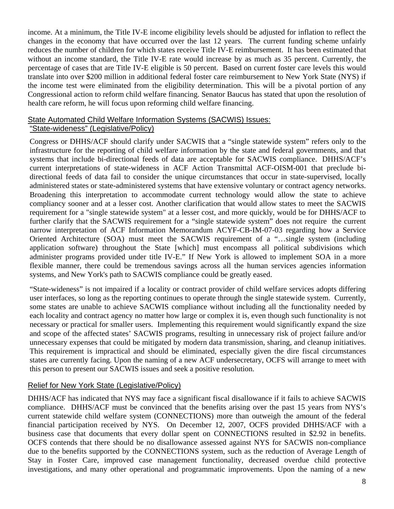income. At a minimum, the Title IV-E income eligibility levels should be adjusted for inflation to reflect the changes in the economy that have occurred over the last 12 years. The current funding scheme unfairly reduces the number of children for which states receive Title IV-E reimbursement. It has been estimated that without an income standard, the Title IV-E rate would increase by as much as 35 percent. Currently, the percentage of cases that are Title IV-E eligible is 50 percent. Based on current foster care levels this would translate into over \$200 million in additional federal foster care reimbursement to New York State (NYS) if the income test were eliminated from the eligibility determination. This will be a pivotal portion of any Congressional action to reform child welfare financing. Senator Baucus has stated that upon the resolution of health care reform, he will focus upon reforming child welfare financing.

## State Automated Child Welfare Information Systems (SACWIS) Issues: "State-wideness" (Legislative/Policy)

Congress or DHHS/ACF should clarify under SACWIS that a "single statewide system" refers only to the infrastructure for the reporting of child welfare information by the state and federal governments, and that systems that include bi-directional feeds of data are acceptable for SACWIS compliance. DHHS/ACF's current interpretations of state-wideness in ACF Action Transmittal ACF-OISM-001 that preclude bidirectional feeds of data fail to consider the unique circumstances that occur in state-supervised, locally administered states or state-administered systems that have extensive voluntary or contract agency networks. Broadening this interpretation to accommodate current technology would allow the state to achieve compliancy sooner and at a lesser cost. Another clarification that would allow states to meet the SACWIS requirement for a "single statewide system" at a lesser cost, and more quickly, would be for DHHS/ACF to further clarify that the SACWIS requirement for a "single statewide system" does not require the current narrow interpretation of ACF Information Memorandum ACYF-CB-IM-07-03 regarding how a Service Oriented Architecture (SOA) must meet the SACWIS requirement of a "…single system (including application software) throughout the State [which] must encompass all political subdivisions which administer programs provided under title IV-E." If New York is allowed to implement SOA in a more flexible manner, there could be tremendous savings across all the human services agencies information systems, and New York's path to SACWIS compliance could be greatly eased.

"State-wideness" is not impaired if a locality or contract provider of child welfare services adopts differing user interfaces, so long as the reporting continues to operate through the single statewide system. Currently, some states are unable to achieve SACWIS compliance without including all the functionality needed by each locality and contract agency no matter how large or complex it is, even though such functionality is not necessary or practical for smaller users. Implementing this requirement would significantly expand the size and scope of the affected states' SACWIS programs, resulting in unnecessary risk of project failure and/or unnecessary expenses that could be mitigated by modern data transmission, sharing, and cleanup initiatives. This requirement is impractical and should be eliminated, especially given the dire fiscal circumstances states are currently facing. Upon the naming of a new ACF undersecretary, OCFS will arrange to meet with this person to present our SACWIS issues and seek a positive resolution.

## Relief for New York State (Legislative/Policy)

DHHS/ACF has indicated that NYS may face a significant fiscal disallowance if it fails to achieve SACWIS compliance. DHHS/ACF must be convinced that the benefits arising over the past 15 years from NYS's current statewide child welfare system (CONNECTIONS) more than outweigh the amount of the federal financial participation received by NYS. On December 12, 2007, OCFS provided DHHS/ACF with a business case that documents that every dollar spent on CONNECTIONS resulted in \$2.92 in benefits. OCFS contends that there should be no disallowance assessed against NYS for SACWIS non-compliance due to the benefits supported by the CONNECTIONS system, such as the reduction of Average Length of Stay in Foster Care, improved case management functionality, decreased overdue child protective investigations, and many other operational and programmatic improvements. Upon the naming of a new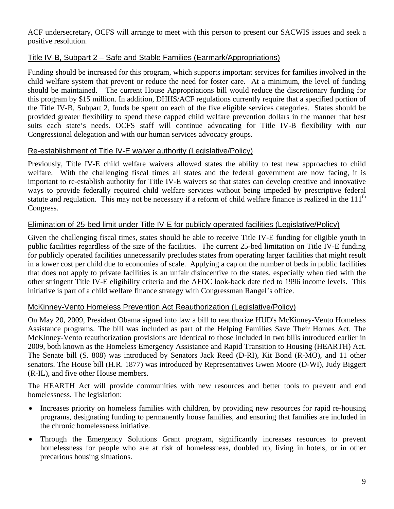ACF undersecretary, OCFS will arrange to meet with this person to present our SACWIS issues and seek a positive resolution.

# Title IV-B, Subpart 2 – Safe and Stable Families (Earmark/Appropriations)

Funding should be increased for this program, which supports important services for families involved in the child welfare system that prevent or reduce the need for foster care. At a minimum, the level of funding should be maintained. The current House Appropriations bill would reduce the discretionary funding for this program by \$15 million. In addition, DHHS/ACF regulations currently require that a specified portion of the Title IV-B, Subpart 2, funds be spent on each of the five eligible services categories. States should be provided greater flexibility to spend these capped child welfare prevention dollars in the manner that best suits each state's needs. OCFS staff will continue advocating for Title IV-B flexibility with our Congressional delegation and with our human services advocacy groups.

# Re-establishment of Title IV-E waiver authority (Legislative/Policy)

Previously, Title IV-E child welfare waivers allowed states the ability to test new approaches to child welfare. With the challenging fiscal times all states and the federal government are now facing, it is important to re-establish authority for Title IV-E waivers so that states can develop creative and innovative ways to provide federally required child welfare services without being impeded by prescriptive federal statute and regulation. This may not be necessary if a reform of child welfare finance is realized in the  $111<sup>th</sup>$ Congress.

# Elimination of 25-bed limit under Title IV-E for publicly operated facilities (Legislative/Policy)

Given the challenging fiscal times, states should be able to receive Title IV-E funding for eligible youth in public facilities regardless of the size of the facilities. The current 25-bed limitation on Title IV-E funding for publicly operated facilities unnecessarily precludes states from operating larger facilities that might result in a lower cost per child due to economies of scale. Applying a cap on the number of beds in public facilities that does not apply to private facilities is an unfair disincentive to the states, especially when tied with the other stringent Title IV-E eligibility criteria and the AFDC look-back date tied to 1996 income levels. This initiative is part of a child welfare finance strategy with Congressman Rangel's office.

# McKinney-Vento Homeless Prevention Act Reauthorization (Legislative/Policy)

On May 20, 2009, President Obama signed into law a bill to reauthorize HUD's McKinney-Vento Homeless Assistance programs. The bill was included as part of the Helping Families Save Their Homes Act. The McKinney-Vento reauthorization provisions are identical to those included in two bills introduced earlier in 2009, both known as the Homeless Emergency Assistance and Rapid Transition to Housing (HEARTH) Act. The Senate bill (S. 808) was introduced by Senators Jack Reed (D-RI), Kit Bond (R-MO), and 11 other senators. The House bill (H.R. 1877) was introduced by Representatives Gwen Moore (D-WI), Judy Biggert (R-IL), and five other House members.

The HEARTH Act will provide communities with new resources and better tools to prevent and end homelessness. The legislation:

- Increases priority on homeless families with children, by providing new resources for rapid re-housing programs, designating funding to permanently house families, and ensuring that families are included in the chronic homelessness initiative.
- Through the Emergency Solutions Grant program, significantly increases resources to prevent homelessness for people who are at risk of homelessness, doubled up, living in hotels, or in other precarious housing situations.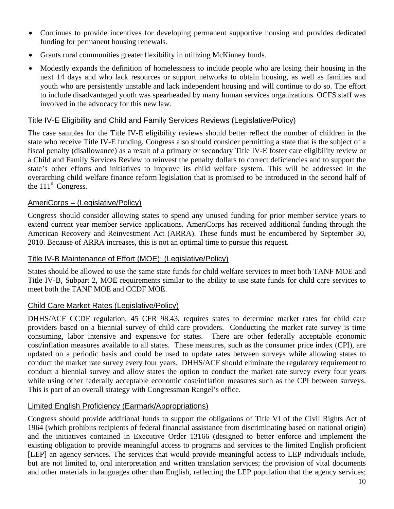- Continues to provide incentives for developing permanent supportive housing and provides dedicated funding for permanent housing renewals.
- Grants rural communities greater flexibility in utilizing McKinney funds.
- Modestly expands the definition of homelessness to include people who are losing their housing in the next 14 days and who lack resources or support networks to obtain housing, as well as families and youth who are persistently unstable and lack independent housing and will continue to do so. The effort to include disadvantaged youth was spearheaded by many human services organizations. OCFS staff was involved in the advocacy for this new law.

#### Title IV-E Eligibility and Child and Family Services Reviews (Legislative/Policy)

The case samples for the Title IV-E eligibility reviews should better reflect the number of children in the state who receive Title IV-E funding. Congress also should consider permitting a state that is the subject of a fiscal penalty (disallowance) as a result of a primary or secondary Title IV-E foster care eligibility review or a Child and Family Services Review to reinvest the penalty dollars to correct deficiencies and to support the state's other efforts and initiatives to improve its child welfare system. This will be addressed in the overarching child welfare finance reform legislation that is promised to be introduced in the second half of the  $111<sup>th</sup>$  Congress.

#### AmeriCorps – (Legislative/Policy)

Congress should consider allowing states to spend any unused funding for prior member service years to extend current year member service applications. AmeriCorps has received additional funding through the American Recovery and Reinvestment Act (ARRA). These funds must be encumbered by September 30, 2010. Because of ARRA increases, this is not an optimal time to pursue this request.

#### Title IV-B Maintenance of Effort (MOE): (Legislative/Policy)

States should be allowed to use the same state funds for child welfare services to meet both TANF MOE and Title IV-B, Subpart 2, MOE requirements similar to the ability to use state funds for child care services to meet both the TANF MOE and CCDF MOE.

## Child Care Market Rates (Legislative/Policy)

DHHS/ACF CCDF regulation, 45 CFR 98.43, requires states to determine market rates for child care providers based on a biennial survey of child care providers. Conducting the market rate survey is time consuming, labor intensive and expensive for states. There are other federally acceptable economic cost/inflation measures available to all states. These measures, such as the consumer price index (CPI), are updated on a periodic basis and could be used to update rates between surveys while allowing states to conduct the market rate survey every four years. DHHS/ACF should eliminate the regulatory requirement to conduct a biennial survey and allow states the option to conduct the market rate survey every four years while using other federally acceptable economic cost/inflation measures such as the CPI between surveys. This is part of an overall strategy with Congressman Rangel's office.

## Limited English Proficiency (Earmark/Appropriations)

Congress should provide additional funds to support the obligations of Title VI of the Civil Rights Act of 1964 (which prohibits recipients of federal financial assistance from discriminating based on national origin) and the initiatives contained in Executive Order 13166 (designed to better enforce and implement the existing obligation to provide meaningful access to programs and services to the limited English proficient [LEP] an agency services. The services that would provide meaningful access to LEP individuals include, but are not limited to, oral interpretation and written translation services; the provision of vital documents and other materials in languages other than English, reflecting the LEP population that the agency services;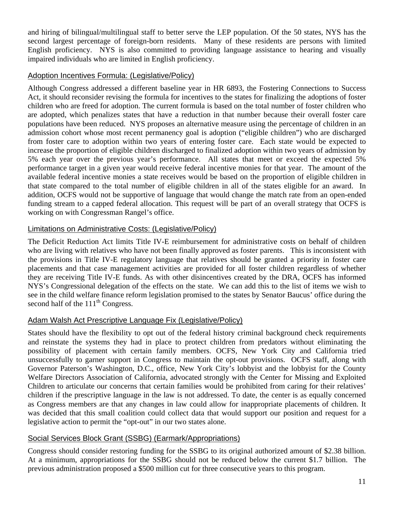and hiring of bilingual/multilingual staff to better serve the LEP population. Of the 50 states, NYS has the second largest percentage of foreign-born residents. Many of these residents are persons with limited English proficiency. NYS is also committed to providing language assistance to hearing and visually impaired individuals who are limited in English proficiency.

## Adoption Incentives Formula: (Legislative/Policy)

Although Congress addressed a different baseline year in HR 6893, the Fostering Connections to Success Act, it should reconsider revising the formula for incentives to the states for finalizing the adoptions of foster children who are freed for adoption. The current formula is based on the total number of foster children who are adopted, which penalizes states that have a reduction in that number because their overall foster care populations have been reduced. NYS proposes an alternative measure using the percentage of children in an admission cohort whose most recent permanency goal is adoption ("eligible children") who are discharged from foster care to adoption within two years of entering foster care. Each state would be expected to increase the proportion of eligible children discharged to finalized adoption within two years of admission by 5% each year over the previous year's performance. All states that meet or exceed the expected 5% performance target in a given year would receive federal incentive monies for that year. The amount of the available federal incentive monies a state receives would be based on the proportion of eligible children in that state compared to the total number of eligible children in all of the states eligible for an award. In addition, OCFS would not be supportive of language that would change the match rate from an open-ended funding stream to a capped federal allocation. This request will be part of an overall strategy that OCFS is working on with Congressman Rangel's office.

## Limitations on Administrative Costs: (Legislative/Policy)

The Deficit Reduction Act limits Title IV-E reimbursement for administrative costs on behalf of children who are living with relatives who have not been finally approved as foster parents. This is inconsistent with the provisions in Title IV-E regulatory language that relatives should be granted a priority in foster care placements and that case management activities are provided for all foster children regardless of whether they are receiving Title IV-E funds. As with other disincentives created by the DRA, OCFS has informed NYS's Congressional delegation of the effects on the state. We can add this to the list of items we wish to see in the child welfare finance reform legislation promised to the states by Senator Baucus' office during the second half of the  $111<sup>th</sup>$  Congress.

# Adam Walsh Act Prescriptive Language Fix (Legislative/Policy)

States should have the flexibility to opt out of the federal history criminal background check requirements and reinstate the systems they had in place to protect children from predators without eliminating the possibility of placement with certain family members. OCFS, New York City and California tried unsuccessfully to garner support in Congress to maintain the opt-out provisions. OCFS staff, along with Governor Paterson's Washington, D.C., office, New York City's lobbyist and the lobbyist for the County Welfare Directors Association of California, advocated strongly with the Center for Missing and Exploited Children to articulate our concerns that certain families would be prohibited from caring for their relatives' children if the prescriptive language in the law is not addressed. To date, the center is as equally concerned as Congress members are that any changes in law could allow for inappropriate placements of children. It was decided that this small coalition could collect data that would support our position and request for a legislative action to permit the "opt-out" in our two states alone.

# Social Services Block Grant (SSBG) (Earmark/Appropriations)

Congress should consider restoring funding for the SSBG to its original authorized amount of \$2.38 billion. At a minimum, appropriations for the SSBG should not be reduced below the current \$1.7 billion. The previous administration proposed a \$500 million cut for three consecutive years to this program.